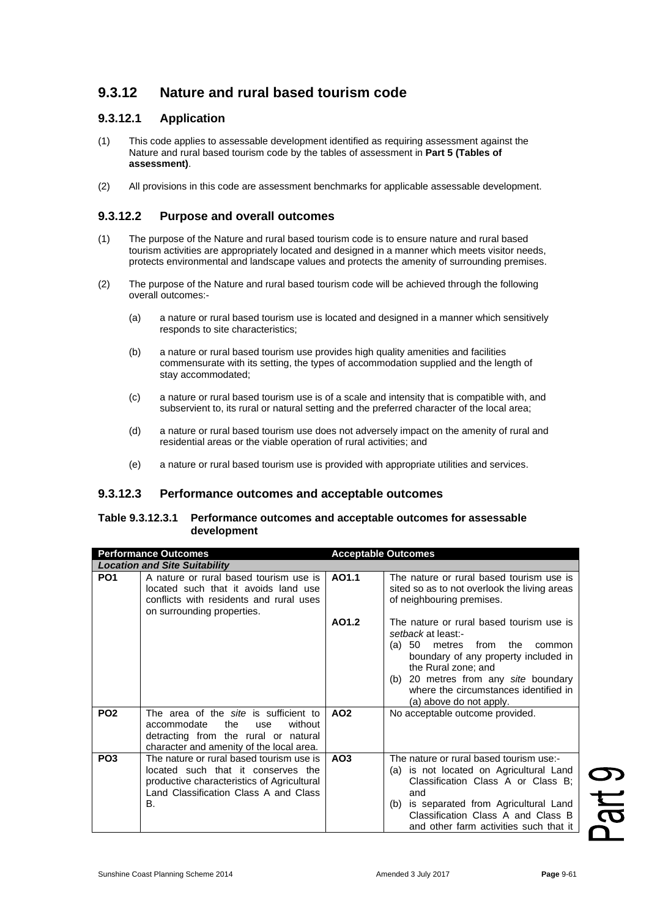# **9.3.12 Nature and rural based tourism code**

## **9.3.12.1 Application**

- (1) This code applies to assessable development identified as requiring assessment against the Nature and rural based tourism code by the tables of assessment in **Part 5 (Tables of assessment)**.
- (2) All provisions in this code are assessment benchmarks for applicable assessable development.

### **9.3.12.2 Purpose and overall outcomes**

- (1) The purpose of the Nature and rural based tourism code is to ensure nature and rural based tourism activities are appropriately located and designed in a manner which meets visitor needs, protects environmental and landscape values and protects the amenity of surrounding premises.
- (2) The purpose of the Nature and rural based tourism code will be achieved through the following overall outcomes:-
	- (a) a nature or rural based tourism use is located and designed in a manner which sensitively responds to site characteristics;
	- (b) a nature or rural based tourism use provides high quality amenities and facilities commensurate with its setting, the types of accommodation supplied and the length of stay accommodated;
	- (c) a nature or rural based tourism use is of a scale and intensity that is compatible with, and subservient to, its rural or natural setting and the preferred character of the local area;
	- (d) a nature or rural based tourism use does not adversely impact on the amenity of rural and residential areas or the viable operation of rural activities; and
	- (e) a nature or rural based tourism use is provided with appropriate utilities and services.

#### **9.3.12.3 Performance outcomes and acceptable outcomes**

#### **Table 9.3.12.3.1 Performance outcomes and acceptable outcomes for assessable development**

|                                      | <b>Performance Outcomes</b>                                                                                                                                                 |                 | <b>Acceptable Outcomes</b>                                                                                                                                                                                                                                                                |  |  |
|--------------------------------------|-----------------------------------------------------------------------------------------------------------------------------------------------------------------------------|-----------------|-------------------------------------------------------------------------------------------------------------------------------------------------------------------------------------------------------------------------------------------------------------------------------------------|--|--|
| <b>Location and Site Suitability</b> |                                                                                                                                                                             |                 |                                                                                                                                                                                                                                                                                           |  |  |
| PO <sub>1</sub>                      | A nature or rural based tourism use is<br>located such that it avoids land use<br>conflicts with residents and rural uses<br>on surrounding properties.                     | AO1.1           | The nature or rural based tourism use is<br>sited so as to not overlook the living areas<br>of neighbouring premises.                                                                                                                                                                     |  |  |
|                                      |                                                                                                                                                                             | AO1.2           | The nature or rural based tourism use is<br>setback at least:-<br>50<br>from<br>(a)<br>metres<br>the<br>common<br>boundary of any property included in<br>the Rural zone; and<br>(b) 20 metres from any site boundary<br>where the circumstances identified in<br>(a) above do not apply. |  |  |
| PO <sub>2</sub>                      | The area of the site is sufficient to<br>without<br>accommodate<br>the<br>use<br>detracting from the rural or natural<br>character and amenity of the local area.           | AO <sub>2</sub> | No acceptable outcome provided.                                                                                                                                                                                                                                                           |  |  |
| PO <sub>3</sub>                      | The nature or rural based tourism use is<br>located such that it conserves the<br>productive characteristics of Agricultural<br>Land Classification Class A and Class<br>В. | AO <sub>3</sub> | The nature or rural based tourism use:-<br>is not located on Agricultural Land<br>(a)<br>Classification Class A or Class B:<br>and<br>is separated from Agricultural Land<br>(b)<br>Classification Class A and Class B<br>and other farm activities such that it                          |  |  |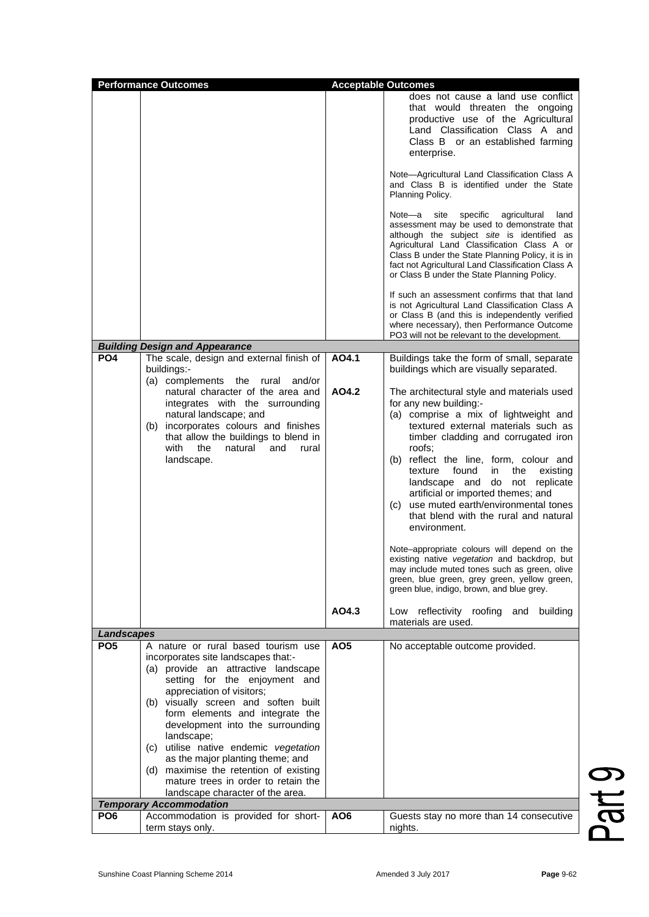|                   | <b>Performance Outcomes</b><br><b>Acceptable Outcomes</b>                                                                                                                                                                                                                                                                                                                                                                                                                                                      |                 |                                                                                                                                                                                                                                                                                                                                                                                                                                                                                                                                                                                                                                                                                                                                                                                               |  |  |
|-------------------|----------------------------------------------------------------------------------------------------------------------------------------------------------------------------------------------------------------------------------------------------------------------------------------------------------------------------------------------------------------------------------------------------------------------------------------------------------------------------------------------------------------|-----------------|-----------------------------------------------------------------------------------------------------------------------------------------------------------------------------------------------------------------------------------------------------------------------------------------------------------------------------------------------------------------------------------------------------------------------------------------------------------------------------------------------------------------------------------------------------------------------------------------------------------------------------------------------------------------------------------------------------------------------------------------------------------------------------------------------|--|--|
|                   |                                                                                                                                                                                                                                                                                                                                                                                                                                                                                                                |                 | does not cause a land use conflict<br>that would threaten the ongoing<br>productive use of the Agricultural<br>Land Classification Class A and<br>Class B or an established farming<br>enterprise.<br>Note-Agricultural Land Classification Class A                                                                                                                                                                                                                                                                                                                                                                                                                                                                                                                                           |  |  |
|                   |                                                                                                                                                                                                                                                                                                                                                                                                                                                                                                                |                 | and Class B is identified under the State<br>Planning Policy.                                                                                                                                                                                                                                                                                                                                                                                                                                                                                                                                                                                                                                                                                                                                 |  |  |
|                   |                                                                                                                                                                                                                                                                                                                                                                                                                                                                                                                |                 | Note-a<br>site<br>specific<br>agricultural<br>land<br>assessment may be used to demonstrate that<br>although the subject site is identified as<br>Agricultural Land Classification Class A or<br>Class B under the State Planning Policy, it is in<br>fact not Agricultural Land Classification Class A<br>or Class B under the State Planning Policy.                                                                                                                                                                                                                                                                                                                                                                                                                                        |  |  |
|                   |                                                                                                                                                                                                                                                                                                                                                                                                                                                                                                                |                 | If such an assessment confirms that that land<br>is not Agricultural Land Classification Class A<br>or Class B (and this is independently verified<br>where necessary), then Performance Outcome<br>PO3 will not be relevant to the development.                                                                                                                                                                                                                                                                                                                                                                                                                                                                                                                                              |  |  |
|                   | <b>Building Design and Appearance</b>                                                                                                                                                                                                                                                                                                                                                                                                                                                                          |                 |                                                                                                                                                                                                                                                                                                                                                                                                                                                                                                                                                                                                                                                                                                                                                                                               |  |  |
| PO <sub>4</sub>   | The scale, design and external finish of<br>buildings:-<br>(a) complements the<br>rural and/or                                                                                                                                                                                                                                                                                                                                                                                                                 | AO4.1           | Buildings take the form of small, separate<br>buildings which are visually separated.                                                                                                                                                                                                                                                                                                                                                                                                                                                                                                                                                                                                                                                                                                         |  |  |
|                   | natural character of the area and<br>integrates with the surrounding<br>natural landscape; and<br>(b) incorporates colours and finishes<br>that allow the buildings to blend in<br>with<br>the<br>natural<br>and<br>rural<br>landscape.                                                                                                                                                                                                                                                                        | AO4.2<br>AO4.3  | The architectural style and materials used<br>for any new building:-<br>(a) comprise a mix of lightweight and<br>textured external materials such as<br>timber cladding and corrugated iron<br>roofs:<br>(b) reflect the line, form, colour and<br>found<br>in<br>the<br>texture<br>existing<br>landscape and<br>do not<br>replicate<br>artificial or imported themes; and<br>(c) use muted earth/environmental tones<br>that blend with the rural and natural<br>environment.<br>Note-appropriate colours will depend on the<br>existing native vegetation and backdrop, but<br>may include muted tones such as green, olive<br>green, blue green, grey green, yellow green,<br>green blue, indigo, brown, and blue grey.<br>Low reflectivity roofing and<br>building<br>materials are used. |  |  |
| <b>Landscapes</b> |                                                                                                                                                                                                                                                                                                                                                                                                                                                                                                                |                 |                                                                                                                                                                                                                                                                                                                                                                                                                                                                                                                                                                                                                                                                                                                                                                                               |  |  |
| PO <sub>5</sub>   | A nature or rural based tourism use<br>incorporates site landscapes that:-<br>(a) provide an attractive landscape<br>setting for the enjoyment and<br>appreciation of visitors;<br>(b) visually screen and soften built<br>form elements and integrate the<br>development into the surrounding<br>landscape;<br>(c) utilise native endemic vegetation<br>as the major planting theme; and<br>(d) maximise the retention of existing<br>mature trees in order to retain the<br>landscape character of the area. | AO5             | No acceptable outcome provided.                                                                                                                                                                                                                                                                                                                                                                                                                                                                                                                                                                                                                                                                                                                                                               |  |  |
|                   | <b>Temporary Accommodation</b>                                                                                                                                                                                                                                                                                                                                                                                                                                                                                 |                 |                                                                                                                                                                                                                                                                                                                                                                                                                                                                                                                                                                                                                                                                                                                                                                                               |  |  |
| PO <sub>6</sub>   | Accommodation is provided for short-<br>term stays only.                                                                                                                                                                                                                                                                                                                                                                                                                                                       | AO <sub>6</sub> | Guests stay no more than 14 consecutive<br>nights.                                                                                                                                                                                                                                                                                                                                                                                                                                                                                                                                                                                                                                                                                                                                            |  |  |

Part 9